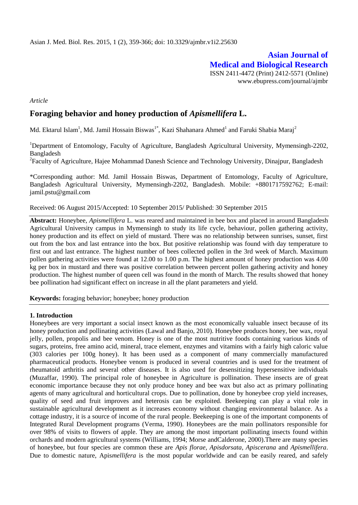# **Asian Journal of Medical and Biological Research** ISSN 2411-4472 (Print) 2412-5571 (Online)

www.ebupress.com/journal/ajmbr

*Article*

# **Foraging behavior and honey production of** *Apismellifera* **L.**

Md. Ektarul Islam<sup>1</sup>, Md. Jamil Hossain Biswas<sup>1\*</sup>, Kazi Shahanara Ahmed<sup>1</sup> and Faruki Shabia Maraj<sup>2</sup>

<sup>1</sup>Department of Entomology, Faculty of Agriculture, Bangladesh Agricultural University, Mymensingh-2202, Bangladesh

<sup>2</sup> Faculty of Agriculture, Hajee Mohammad Danesh Science and Technology University, Dinajpur, Bangladesh

\*Corresponding author: Md. Jamil Hossain Biswas, Department of Entomology, Faculty of Agriculture, Bangladesh Agricultural University, Mymensingh-2202, Bangladesh. Mobile: +8801717592762; E-mail: [jamil.pstu@gmail.com](mailto:jamil.pstu@gmail.com)

#### Received: 06 August 2015/Accepted: 10 September 2015/ Published: 30 September 2015

**Abstract:** Honeybee, *Apismellifera* L. was reared and maintained in bee box and placed in around Bangladesh Agricultural University campus in Mymensingh to study its life cycle, behaviour, pollen gathering activity, honey production and its effect on yield of mustard. There was no relationship between sunrises, sunset, first out from the box and last entrance into the box. But positive relationship was found with day temperature to first out and last entrance. The highest number of bees collected pollen in the 3rd week of March. Maximum pollen gathering activities were found at 12.00 to 1.00 p.m. The highest amount of honey production was 4.00 kg per box in mustard and there was positive correlation between percent pollen gathering activity and honey production. The highest number of queen cell was found in the month of March. The results showed that honey bee pollination had significant effect on increase in all the plant parameters and yield.

**Keywords:** foraging behavior; honeybee; honey production

### **1. Introduction**

Honeybees are very important a social insect known as the most economically valuable insect because of its honey production and pollinating activities (Lawal and Banjo, 2010). Honeybee produces honey, bee wax, royal jelly, pollen, propolis and bee venom. Honey is one of the most nutritive foods containing various kinds of sugars, proteins, free amino acid, mineral, trace element, enzymes and vitamins with a fairly high caloric value (303 calories per 100g honey). It has been used as a component of many commercially manufactured pharmaceutical products. Honeybee venom is produced in several countries and is used for the treatment of rheumatoid arthritis and several other diseases. It is also used for desensitizing hypersensitive individuals (Muzaffar, 1990). The principal role of honeybee in Agriculture is pollination. These insects are of great economic importance because they not only produce honey and bee wax but also act as primary pollinating agents of many agricultural and horticultural crops. Due to pollination, done by honeybee crop yield increases, quality of seed and fruit improves and heterosis can be exploited. Beekeeping can play a vital role in sustainable agricultural development as it increases economy without changing environmental balance. As a cottage industry, it is a source of income of the rural people. Beekeeping is one of the important components of Integrated Rural Development programs (Verma, 1990). Honeybees are the main pollinators responsible for over 98% of visits to flowers of apple. They are among the most important pollinating insects found within orchards and modern agricultural systems (Williams, 1994; Morse andCalderone, 2000).There are many species of honeybee, but four species are common these are *Apis florae, Apisdorsata, Apiscerana* and *Apismellifera*. Due to domestic nature, Apis*mellifera* is the most popular worldwide and can be easily reared, and safely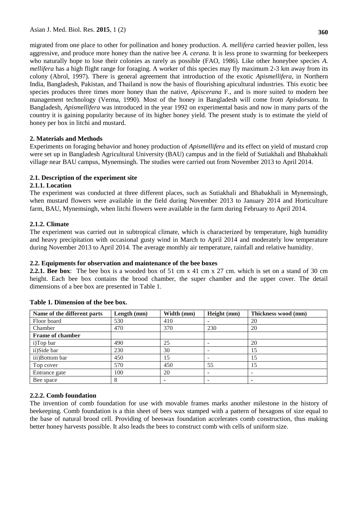migrated from one place to other for pollination and honey production. *A. mellifera* carried heavier pollen, less aggressive, and produce more honey than the native bee *A. cerana*. It is less prone to swarming for beekeepers who naturally hope to lose their colonies as rarely as possible (FAO, 1986). Like other honeybee species *A. mellifera* has a high flight range for foraging. A worker of this species may fly maximum 2-3 km away from its colony (Abrol, 1997). There is general agreement that introduction of the exotic *Apismellifera*, in Northern India, Bangladesh, Pakistan, and Thailand is now the basis of flourishing apicultural industries. This exotic bee species produces three times more honey than the native, *Apiscerana* F., and is more suited to modern bee management technology (Verma, 1990). Most of the honey in Bangladesh will come from *Apisdorsata*. In Bangladesh, *Apismellifera* was introduced in the year 1992 on experimental basis and now in many parts of the country it is gaining popularity because of its higher honey yield. The present study is to estimate the yield of honey per box in litchi and mustard.

# **2. Materials and Methods**

Experiments on foraging behavior and honey production of *Apismellifera* and its effect on yield of mustard crop were set up in Bangladesh Agricultural University (BAU) campus and in the field of Sutiakhali and Bhabakhali village near BAU campus, Mynemsingh. The studies were carried out from November 2013 to April 2014.

# **2.1. Description of the experiment site**

### **2.1.1. Location**

The experiment was conducted at three different places, such as Sutiakhali and Bhabakhali in Mynemsingh, when mustard flowers were available in the field during November 2013 to January 2014 and Horticulture farm, BAU, Mynemsingh, when litchi flowers were available in the farm during February to April 2014.

# **2.1.2. Climate**

The experiment was carried out in subtropical climate, which is characterized by temperature, high humidity and heavy precipitation with occasional gusty wind in March to April 2014 and moderately low temperature during November 2013 to April 2014. The average monthly air temperature, rainfall and relative humidity.

### **2.2. Equipments for observation and maintenance of the bee boxes**

**2.2.1. Bee box**: The bee box is a wooded box of 51 cm x 41 cm x 27 cm. which is set on a stand of 30 cm height. Each bee box contains the brood chamber, the super chamber and the upper cover. The detail dimensions of a bee box are presented in Table 1.

| Name of the different parts | Length $(mm)$ | Width (mm) | Height (mm) | Thickness wood (mm) |
|-----------------------------|---------------|------------|-------------|---------------------|
| Floor board                 | 530           | 410        |             | 20                  |
| Chamber                     | 470           | 370        | 230         | 20                  |
| <b>Frame of chamber</b>     |               |            |             |                     |
| i)Top bar                   | 490           | 25         |             | 20                  |
| ii)Side bar                 | 230           | 30         |             | 15                  |
| iii)Bottom bar              | 450           | 15         |             | 15                  |
| Top cover                   | 570           | 450        | 55          | 15                  |
| Entrance gate               | 100           | 20         |             |                     |
| Bee space                   | 8             | ۰          |             |                     |

### **Table 1. Dimension of the bee box.**

### **2.2.2. Comb foundation**

The invention of comb foundation for use with movable frames marks another milestone in the history of beekeeping. Comb foundation is a thin sheet of bees wax stamped with a pattern of hexagons of size equal to the base of natural brood cell. Providing of beeswax foundation accelerates comb construction, thus making better honey harvests possible. It also leads the bees to construct comb with cells of uniform size.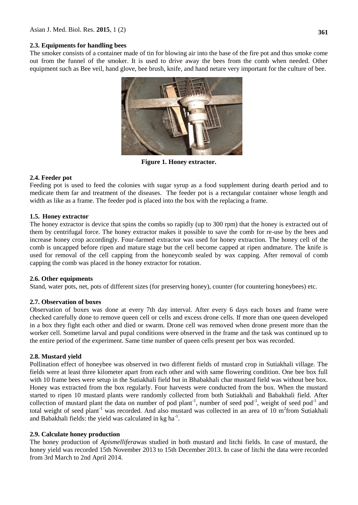### **2.3. Equipments for handling bees**

The smoker consists of a container made of tin for blowing air into the base of the fire pot and thus smoke come out from the funnel of the smoker. It is used to drive away the bees from the comb when needed. Other equipment such as Bee veil, hand glove, bee brush, knife, and hand netare very important for the culture of bee.



**Figure 1. Honey extractor.**

### **2.4. Feeder pot**

Feeding pot is used to feed the colonies with sugar syrup as a food supplement during dearth period and to medicate them far and treatment of the diseases. The feeder pot is a rectangular container whose length and width as like as a frame. The feeder pod is placed into the box with the replacing a frame.

### **1.5. Honey extractor**

The honey extractor is device that spins the combs so rapidly (up to 300 rpm) that the honey is extracted out of them by centrifugal force. The honey extractor makes it possible to save the comb for re-use by the bees and increase honey crop accordingly. Four-farmed extractor was used for honey extraction. The honey cell of the comb is uncapped before ripen and mature stage but the cell become capped at ripen andmature. The knife is used for removal of the cell capping from the honeycomb sealed by wax capping. After removal of comb capping the comb was placed in the honey extractor for rotation.

### **2.6. Other equipments**

Stand, water pots, net, pots of different sizes (for preserving honey), counter (for countering honeybees) etc.

### **2.7. Observation of boxes**

Observation of boxes was done at every 7th day interval. After every 6 days each boxes and frame were checked carefully done to remove queen cell or cells and excess drone cells. If more than one queen developed in a box they fight each other and died or swarm. Drone cell was removed when drone present more than the worker cell. Sometime larval and pupal conditions were observed in the frame and the task was continued up to the entire period of the experiment. Same time number of queen cells present per box was recorded.

### **2.8. Mustard yield**

Pollination effect of honeybee was observed in two different fields of mustard crop in Sutiakhali village. The fields were at least three kilometer apart from each other and with same flowering condition. One bee box full with 10 frame bees were setup in the Sutiakhali field but in Bhabakhali char mustard field was without bee box. Honey was extracted from the box regularly. Four harvests were conducted from the box. When the mustard started to ripen 10 mustard plants were randomly collected from both Sutiakhali and Babakhali field. After collection of mustard plant the data on number of pod plant<sup>-1</sup>, number of seed pod<sup>-1</sup>, weight of seed pod<sup>-1</sup> and total weight of seed plant<sup>-1</sup> was recorded. And also mustard was collected in an area of 10 m<sup>2</sup>from Sutiakhali and Babakhali fields: the yield was calculated in  $kg$  ha<sup>-1</sup>.

### **2.9. Calculate honey production**

The honey production of *Apismellifera*was studied in both mustard and litchi fields. In case of mustard, the honey yield was recorded 15th November 2013 to 15th December 2013. In case of litchi the data were recorded from 3rd March to 2nd April 2014.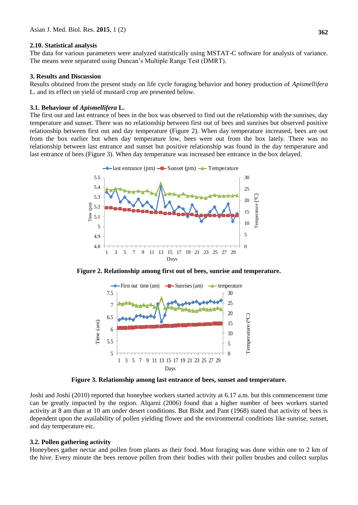#### **2.10. Statistical analysis**

The data for various parameters were analyzed statistically using MSTAT-C software for analysis of variance. The means were separated using Duncan's Multiple Range Test (DMRT).

### **3. Results and Discussion**

Results obtained from the present study on life cycle foraging behavior and honey production of *Apismellifera* L. and its effect on yield of mustard crop are presented below.

#### **3.1. Behaviour of** *Apismellifera* **L.**

The first out and last entrance of bees in the box was observed to find out the relationship with the sunrises, day temperature and sunset. There was no relationship between first out of bees and sunrises but observed positive relationship between first out and day temperature (Figure 2). When day temperature increased, bees are out from the box earlier but when day temperature low, bees were out from the box lately. There was no relationship between last entrance and sunset but positive relationship was found in the day temperature and last entrance of bees (Figure 3). When day temperature was increased bee entrance in the box delayed.



**Figure 2. Relationship among first out of bees, sunrise and temperature.**



**Figure 3. Relationship among last entrance of bees, sunset and temperature.**

Joshi and Joshi (2010) reported that honeybee workers started activity at 6.17 a.m. but this commencement time can be greatly impacted by the region. Alqarni (2006) found that a higher number of bees workers started activity at 8 am than at 10 am under desert conditions. But Bisht and Pant (1968) stated that activity of bees is dependent upon the availability of pollen yielding flower and the environmental conditions like sunrise, sunset, and day temperature etc.

#### **3.2. Pollen gathering activity**

Honeybees gather nectar and pollen from plants as their food. Most foraging was done within one to 2 km of the hive. Every minute the bees remove pollen from their bodies with their pollen brushes and collect surplus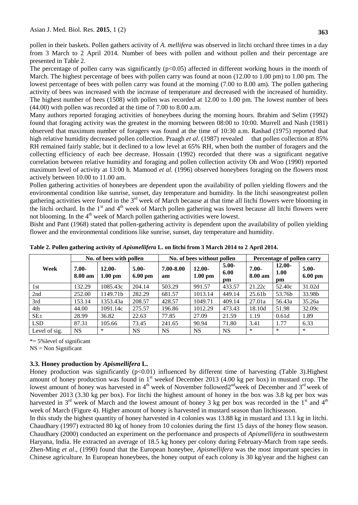pollen in their baskets. Pollen gathers activity of *A. mellifera* was observed in litchi orchard three times in a day from 3 March to 2 April 2014. Number of bees with pollen and without pollen and their percentage are presented in Table 2.

The percentage of pollen carry was significantly  $(p<0.05)$  affected in different working hours in the month of March. The highest percentage of bees with pollen carry was found at noon (12.00 to 1.00 pm) to 1.00 pm. The lowest percentage of bees with pollen carry was found at the morning (7.00 to 8.00 am). The pollen gathering activity of bees was increased with the increase of temperature and decreased with the increased of humidity. The highest number of bees (1508) with pollen was recorded at 12.00 to 1.00 pm. The lowest number of bees (44.00) with pollen was recorded at the time of 7.00 to 8.00 a.m.

Many authors reported foraging activities of honeybees during the morning hours. Ibrahim and Selim (1992) found that foraging activity was the greatest in the morning between 08:00 to 10:00. Murrell and Nash (1981) observed that maximum number of foragers was found at the time of 10:30 a.m. Rashad (1975) reported that high relative humidity decreased pollen collection. Praagh *et al.* (1987) revealed that pollen collection at 85% RH remained fairly stable, but it declined to a low level at 65% RH, when both the number of foragers and the collecting efficiency of each bee decrease. Hossain (1992) recorded that there was a significant negative correlation between relative humidity and foraging and pollen collection activity Oh and Woo (1990) reported maximum level of activity at 13:00 h. Mamood *et al.* (1996) observed honeybees foraging on the flowers most actively between 10.00 to 11.00 am.

Pollen gathering activities of honeybees are dependent upon the availability of pollen yielding flowers and the environmental condition like sunrise, sunset, day temperature and humidity. In the litchi seasongreatest pollen gathering activities were found in the  $3<sup>rd</sup>$  week of March because at that time all litchi flowers were blooming in the litchi orchard. In the  $1<sup>st</sup>$  and  $4<sup>th</sup>$  week of March pollen gathering was lowest because all litchi flowers were not blooming. In the  $4<sup>th</sup>$  week of March pollen gathering activities were lowest.

Bisht and Pant (1968) stated that pollen-gathering activity is dependent upon the availability of pollen yielding flower and the environmental conditions like sunrise, sunset, day temperature and humidity.

|               | No. of bees with pollen |                        |                              | No. of bees without pollen |                        |                        | Percentage of pollen carry |                         |                       |
|---------------|-------------------------|------------------------|------------------------------|----------------------------|------------------------|------------------------|----------------------------|-------------------------|-----------------------|
| Week          | $7.00-$<br>8.00 am      | $12.00 -$<br>$1.00$ pm | $5.00-$<br>$6.00 \text{ pm}$ | 7.00-8.00<br>am            | $12.00 -$<br>$1.00$ pm | $5.00 -$<br>6.00<br>pm | $7.00 -$<br>8.00 am        | $12.00 -$<br>1.00<br>pm | $5.00 -$<br>$6.00$ pm |
| 1st           | 132.29                  | 1085.43c               | 204.14                       | 503.29                     | 991.57                 | 433.57                 | 21.22c                     | 52.40c                  | 31.02d                |
| 2nd           | 252.00                  | 1149.71b               | 282.29                       | 681.57                     | 1013.14                | 449.14                 | 25.61b                     | 53.76b                  | 33.98b                |
| 3rd           | 153.14                  | 1353.43a               | 208.57                       | 428.57                     | 1049.71                | 409.14                 | 27.01a                     | 56.43a                  | 35.26a                |
| 4th           | 44.00                   | 1091.14c               | 275.57                       | 196.86                     | 1012.29                | 473.43                 | 18.10d                     | 51.98                   | 32.09c                |
| $SE_{\pm}$    | 28.99                   | 36.82                  | 22.63                        | 77.85                      | 27.09                  | 21.59                  | 1.19                       | 0.61d                   | 1.89                  |
| <b>LSD</b>    | 87.31                   | 105.66                 | 73.45                        | 241.65                     | 90.94                  | 71.80                  | 3.41                       | 1.77                    | 6.33                  |
| Level of sig. | <b>NS</b>               | $\ast$                 | <b>NS</b>                    | <b>NS</b>                  | <b>NS</b>              | <b>NS</b>              | *                          | $\ast$                  | $\ast$                |

**Table 2. Pollen gathering activity of** *Apismellifera* **L. on litchi from 3 March 2014 to 2 April 2014.**

\*= 5%level of significant

 $NS = Non$  Significant

### **3.3. Honey production by** *Apismellifera* **L.**

Honey production was significantly  $(p<0.01)$  influenced by different time of harvesting (Table 3). Highest amount of honey production was found in 1<sup>st</sup> weekof December 2013 (4.00 kg per box) in mustard crop. The lowest amount of honey was harvested in  $4<sup>th</sup>$  week of November followed2<sup>nd</sup>week of December and 3<sup>rd</sup> week of November 2013 (3.30 kg per box). For litchi the highest amount of honey in the box was 3.8 kg per box was harvested in  $3<sup>rd</sup>$  week of March and the lowest amount of honey 3 kg per box was recorded in the 1<sup>st</sup> and 4<sup>th</sup> week of March (Figure 4). Higher amount of honey is harvested in mustard season than litchiseason.

In this study the highest quantity of honey harvested in 4 colonies was 13.88 kg in mustard and 13.1 kg in litchi*.*  Chaudhary (1997) extracted 80 kg of honey from 10 colonies during the first 15 days of the honey flow season. Chaudhary (2000) conducted an experiment on the performance and prospects of *Apismellifera* in southwestern Haryana, India. He extracted an average of 18.5 kg honey per colony during February-March from rape seeds. Zhen-Ming *et al*., (1990) found that the European honeybee, *Apismellifera* was the most important species in Chinese agriculture. In European honeybees, the honey output of each colony is 30 kg/year and the highest can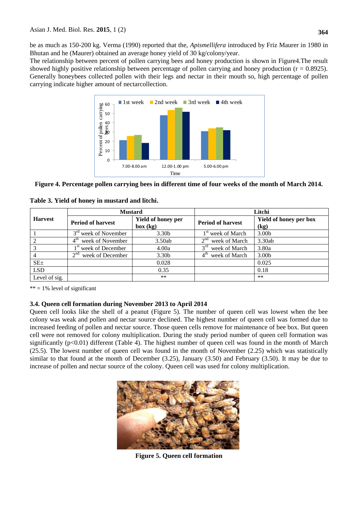be as much as 150-200 kg. Verma (1990) reported that the, *Apismellifera* introduced by Friz Maurer in 1980 in Bhutan and he (Maurer) obtained an average honey yield of 30 kg/colony/year.

The relationship between percent of pollen carrying bees and honey production is shown in Figure4.The result showed highly positive relationship between percentage of pollen carrying and honey production ( $r = 0.8925$ ). Generally honeybees collected pollen with their legs and nectar in their mouth so, high percentage of pollen carrying indicate higher amount of nectarcollection.



**Figure 4. Percentage pollen carrying bees in different time of four weeks of the month of March 2014.**

|  |  | Table 3. Yield of honey in mustard and litchi. |  |  |  |  |
|--|--|------------------------------------------------|--|--|--|--|
|--|--|------------------------------------------------|--|--|--|--|

|                 | <b>Mustard</b>                      |                                       | Litchi                           |                                |  |
|-----------------|-------------------------------------|---------------------------------------|----------------------------------|--------------------------------|--|
| <b>Harvest</b>  | <b>Period of harvest</b>            | <b>Yield of honey per</b><br>box (kg) | <b>Period of harvest</b>         | Yield of honey per box<br>(kg) |  |
|                 | 3 <sup>rd</sup> week of November    | 3.30 <sub>b</sub>                     | 1 <sup>st</sup> week of March    | 3.00 <sub>b</sub>              |  |
| $\overline{2}$  | $4^{\text{th}}$<br>week of November | 3.50ab                                | $2^{nd}$<br>week of March        | 3.30ab                         |  |
| 3               | 1 <sup>st</sup> week of December    | 4.00a                                 | $3^{\text{rd}}$<br>week of March | 3.80a                          |  |
|                 | $2^{nd}$<br>week of December        | 3.30 <sub>b</sub>                     | $4^{\text{th}}$<br>week of March | 3.00 <sub>b</sub>              |  |
| SE <sub>±</sub> |                                     | 0.028                                 |                                  | 0.025                          |  |
| <b>LSD</b>      |                                     | 0.35                                  |                                  | 0.18                           |  |
| Level of sig.   |                                     | $***$                                 |                                  | $**$                           |  |

 $** = 1\%$  level of significant

### **3.4. Queen cell formation during November 2013 to April 2014**

Queen cell looks like the shell of a peanut (Figure 5). The number of queen cell was lowest when the bee colony was weak and pollen and nectar source declined. The highest number of queen cell was formed due to increased feeding of pollen and nectar source. Those queen cells remove for maintenance of bee box. But queen cell were not removed for colony multiplication. During the study period number of queen cell formation was significantly  $(p<0.01)$  different (Table 4). The highest number of queen cell was found in the month of March (25.5). The lowest number of queen cell was found in the month of November (2.25) which was statistically similar to that found at the month of December (3.25), January (3.50) and February (3.50). It may be due to increase of pollen and nectar source of the colony. Queen cell was used for colony multiplication.



**Figure 5. Queen cell formation**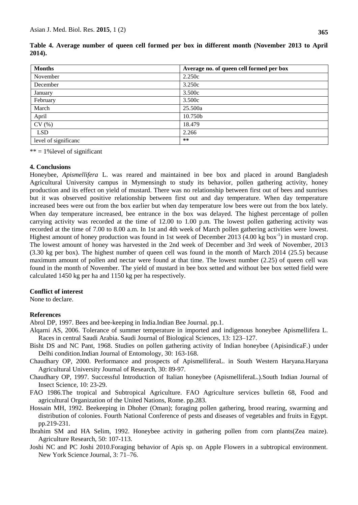| <b>Months</b>        | Average no. of queen cell formed per box |
|----------------------|------------------------------------------|
| November             | 2.250c                                   |
| December             | 3.250c                                   |
| January              | 3.500c                                   |
| February             | 3.500c                                   |
| March                | 25.500a                                  |
| April                | 10.750b                                  |
| CV(%)                | 18.479                                   |
| <b>LSD</b>           | 2.266                                    |
| level of significanc | $***$                                    |

**Table 4. Average number of queen cell formed per box in different month (November 2013 to April 2014).**

 $** = 1\%$  level of significant

### **4. Conclusions**

Honeybee, *Apismellifera* L. was reared and maintained in bee box and placed in around Bangladesh Agricultural University campus in Mymensingh to study its behavior, pollen gathering activity, honey production and its effect on yield of mustard. There was no relationship between first out of bees and sunrises but it was observed positive relationship between first out and day temperature. When day temperature increased bees were out from the box earlier but when day temperature low bees were out from the box lately. When day temperature increased, bee entrance in the box was delayed. The highest percentage of pollen carrying activity was recorded at the time of 12.00 to 1.00 p.m. The lowest pollen gathering activity was recorded at the time of 7.00 to 8.00 a.m. In 1st and 4th week of March pollen gathering activities were lowest. Highest amount of honey production was found in 1st week of December 2013 (4.00 kg box $^{-1}$ ) in mustard crop. The lowest amount of honey was harvested in the 2nd week of December and 3rd week of November, 2013 (3.30 kg per box). The highest number of queen cell was found in the month of March 2014 (25.5) because maximum amount of pollen and nectar were found at that time. The lowest number (2.25) of queen cell was found in the month of November. The yield of mustard in bee box setted and without bee box setted field were calculated 1450 kg per ha and 1150 kg per ha respectively.

### **Conflict of interest**

None to declare.

### **References**

Abrol DP, 1997. Bees and bee-keeping in India.Indian Bee Journal. pp.1.

- Alqarni AS, 2006. Tolerance of summer temperature in imported and indigenous honeybee Apismellifera L. Races in central Saudi Arabia. Saudi Journal of Biological Sciences, 13: 123–127.
- Bisht DS and NC Pant, 1968. Studies on pollen gathering activity of Indian honeybee (ApisindicaF.) under Delhi condition.Indian Journal of Entomology, 30: 163-168.
- Chaudhary OP, 2000. Performance and prospects of ApismelliferaL. in South Western Haryana.Haryana Agricultural University Journal of Research, 30: 89-97.
- Chaudhary OP, 1997. Successful Introduction of Italian honeybee (ApismelliferaL.).South Indian Journal of Insect Science, 10: 23-29.
- FAO 1986.The tropical and Subtropical Agriculture. FAO Agriculture services bulletin 68, Food and agricultural Organization of the United Nations, Rome. pp.283.
- Hossain MH, 1992. Beekeeping in Dhoher (Oman); foraging pollen gathering, brood rearing, swarming and distribution of colonies. Fourth National Conference of pests and diseases of vegetables and fruits in Egypt. pp.219-231.
- Ibrahim SM and HA Selim, 1992. Honeybee activity in gathering pollen from corn plants(Zea maize). Agriculture Research, 50: 107-113.
- Joshi NC and PC Joshi 2010.Foraging behavior of Apis sp. on Apple Flowers in a subtropical environment. New York Science Journal, 3: 71–76.